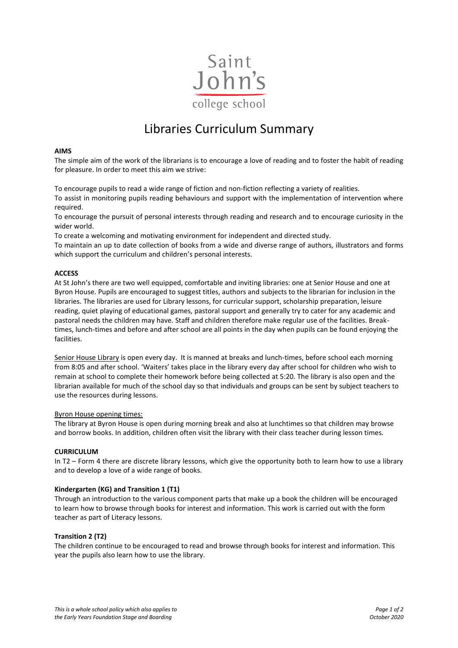

# Libraries Curriculum Summary

## **AIMS**

The simple aim of the work of the librarians is to encourage a love of reading and to foster the habit of reading for pleasure. In order to meet this aim we strive:

To encourage pupils to read a wide range of fiction and non-fiction reflecting a variety of realities.

To assist in monitoring pupils reading behaviours and support with the implementation of intervention where required.

To encourage the pursuit of personal interests through reading and research and to encourage curiosity in the wider world.

To create a welcoming and motivating environment for independent and directed study.

To maintain an up to date collection of books from a wide and diverse range of authors, illustrators and forms which support the curriculum and children's personal interests.

## **ACCESS**

At St John's there are two well equipped, comfortable and inviting libraries: one at Senior House and one at Byron House. Pupils are encouraged to suggest titles, authors and subjects to the librarian for inclusion in the libraries. The libraries are used for Library lessons, for curricular support, scholarship preparation, leisure reading, quiet playing of educational games, pastoral support and generally try to cater for any academic and pastoral needs the children may have. Staff and children therefore make regular use of the facilities. Breaktimes, lunch-times and before and after school are all points in the day when pupils can be found enjoying the facilities.

Senior House Library is open every day. It is manned at breaks and lunch-times, before school each morning from 8:05 and after school. 'Waiters' takes place in the library every day after school for children who wish to remain at school to complete their homework before being collected at 5:20. The library is also open and the librarian available for much of the school day so that individuals and groups can be sent by subject teachers to use the resources during lessons.

### Byron House opening times:

The library at Byron House is open during morning break and also at lunchtimes so that children may browse and borrow books. In addition, children often visit the library with their class teacher during lesson times.

# **CURRICULUM**

In T2 – Form 4 there are discrete library lessons, which give the opportunity both to learn how to use a library and to develop a love of a wide range of books.

### **Kindergarten (KG) and Transition 1 (T1)**

Through an introduction to the various component parts that make up a book the children will be encouraged to learn how to browse through books for interest and information. This work is carried out with the form teacher as part of Literacy lessons.

### **Transition 2 (T2)**

The children continue to be encouraged to read and browse through books for interest and information. This year the pupils also learn how to use the library.